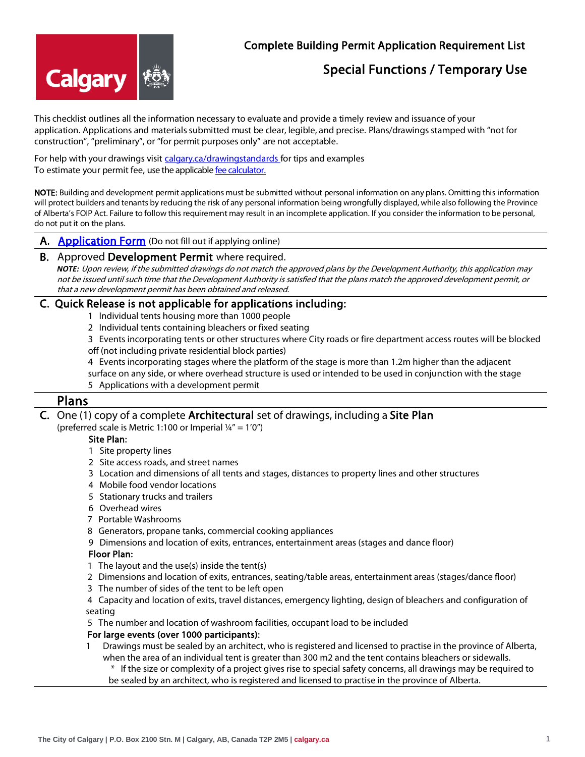# **Calgary**

## Complete Building Permit Application Requirement List

# Special Functions / Temporary Use

This checklist outlines all the information necessary to evaluate and provide a timely review and issuance of your application. Applications and materials submitted must be clear, legible, and precise. Plans/drawings stamped with "not for construction", "preliminary", or "for permit purposes only" are not acceptable.

For help with your drawings visit [calgary.ca/drawingstandards](http://www.calgary.ca/PDA/pd/Pages/Home-building-and-renovations/Drawing-Standards.aspx?redirect=/drawingstandards) for tips and examples To estimate your permit fee, use the applicabl[e fee calculator.](http://www.calgary.ca/PDA/pd/Pages/Permits/Permit-fee-calculators.aspx)

NOTE: Building and development permit applications must be submitted without personal information on any plans. Omitting this information will protect builders and tenants by reducing the risk of any personal information being wrongfully displayed, while also following the Province of Alberta's FOIP Act. Failure to follow this requirement may result in an incomplete application. If you consider the information to be personal, do not put it on the plans.

A. **Application Form** (Do not fill out if applying online)

#### B. Approved Development Permit where required.

*NOTE:* Upon review, if the submitted drawings do not match the approved plans by the Development Authority, this application may not be issued until such time that the Development Authority is satisfied that the plans match the approved development permit, or that a new development permit has been obtained and released.

## C. Quick Release is not applicable for applications including:

- 1 Individual tents housing more than 1000 people
- 2 Individual tents containing bleachers or fixed seating
- 3 Events incorporating tents or other structures where City roads or fire department access routes will be blocked off (not including private residential block parties)
- 4 Events incorporating stages where the platform of the stage is more than 1.2m higher than the adjacent
- surface on any side, or where overhead structure is used or intended to be used in conjunction with the stage
- 5 Applications with a development permit

## Plans

### C. One (1) copy of a complete Architectural set of drawings, including a Site Plan

(preferred scale is Metric 1:100 or Imperial  $\frac{1}{4}$ " = 1'0")

#### Site Plan:

- 1 Site property lines
- 2 Site access roads, and street names
- 3 Location and dimensions of all tents and stages, distances to property lines and other structures
- 4 Mobile food vendor locations
- 5 Stationary trucks and trailers
- 6 Overhead wires
- 7 Portable Washrooms
- 8 Generators, propane tanks, commercial cooking appliances
- 9 Dimensions and location of exits, entrances, entertainment areas (stages and dance floor)

#### Floor Plan:

- 1 The layout and the use(s) inside the tent(s)
- 2 Dimensions and location of exits, entrances, seating/table areas, entertainment areas (stages/dance floor)
- 3 The number of sides of the tent to be left open
- 4 Capacity and location of exits, travel distances, emergency lighting, design of bleachers and configuration of seating
- 5 The number and location of washroom facilities, occupant load to be included

#### For large events (over 1000 participants):

1 Drawings must be sealed by an architect, who is registered and licensed to practise in the province of Alberta, when the area of an individual tent is greater than 300 m2 and the tent contains bleachers or sidewalls.

\* If the size or complexity of a project gives rise to special safety concerns, all drawings may be required to be sealed by an architect, who is registered and licensed to practise in the province of Alberta.